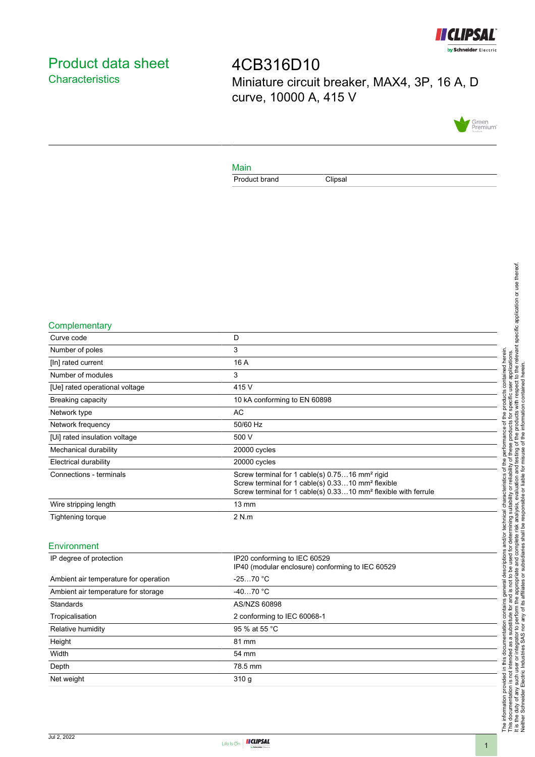

# <span id="page-0-0"></span>Product data sheet **Characteristics**

4CB316D10 Miniature circuit breaker, MAX4, 3P, 16 A, D curve, 10000 A, 415 V



#### Main

Product brand Clipsal

#### **Complementary**

| Curve code                     | D                                                                                                                                                                                                         |
|--------------------------------|-----------------------------------------------------------------------------------------------------------------------------------------------------------------------------------------------------------|
| Number of poles                | 3                                                                                                                                                                                                         |
| [In] rated current             | 16 A                                                                                                                                                                                                      |
| Number of modules              | 3                                                                                                                                                                                                         |
| [Ue] rated operational voltage | 415 V                                                                                                                                                                                                     |
| Breaking capacity              | 10 kA conforming to EN 60898                                                                                                                                                                              |
| Network type                   | AC                                                                                                                                                                                                        |
| Network frequency              | 50/60 Hz                                                                                                                                                                                                  |
| [Ui] rated insulation voltage  | 500 V                                                                                                                                                                                                     |
| Mechanical durability          | 20000 cycles                                                                                                                                                                                              |
| <b>Electrical durability</b>   | 20000 cycles                                                                                                                                                                                              |
| Connections - terminals        | Screw terminal for 1 cable(s) 0.7516 mm <sup>2</sup> rigid<br>Screw terminal for 1 cable(s) 0.3310 mm <sup>2</sup> flexible<br>Screw terminal for 1 cable(s) 0.3310 mm <sup>2</sup> flexible with ferrule |
| Wire stripping length          | $13 \text{ mm}$                                                                                                                                                                                           |
| Tightening torque              | 2 N.m                                                                                                                                                                                                     |
|                                |                                                                                                                                                                                                           |

## Environment

| IP degree of protection               | IP20 conforming to IEC 60529<br>IP40 (modular enclosure) conforming to IEC 60529 |
|---------------------------------------|----------------------------------------------------------------------------------|
| Ambient air temperature for operation | $-2570 °C$                                                                       |
| Ambient air temperature for storage   | $-4070 °C$                                                                       |
| Standards                             | AS/NZS 60898                                                                     |
| Tropicalisation                       | 2 conforming to IEC 60068-1                                                      |
| Relative humidity                     | 95 % at 55 °C                                                                    |
| Height                                | 81 mm                                                                            |
| Width                                 | 54 mm                                                                            |
| Depth                                 | 78.5 mm                                                                          |
| Net weight                            | 310q                                                                             |
|                                       |                                                                                  |